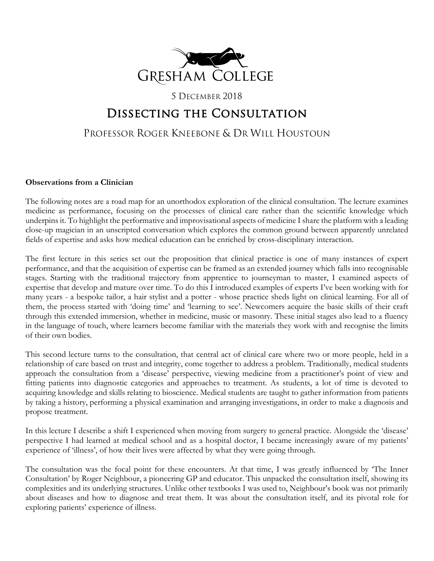

## 5 DECEMBER 2018

# Dissecting the Consultation

# PROFESSOR ROGER KNEEBONE & DR WILL HOUSTOUN

## **Observations from a Clinician**

The following notes are a road map for an unorthodox exploration of the clinical consultation. The lecture examines medicine as performance, focusing on the processes of clinical care rather than the scientific knowledge which underpins it. To highlight the performative and improvisational aspects of medicine I share the platform with a leading close-up magician in an unscripted conversation which explores the common ground between apparently unrelated fields of expertise and asks how medical education can be enriched by cross-disciplinary interaction.

The first lecture in this series set out the proposition that clinical practice is one of many instances of expert performance, and that the acquisition of expertise can be framed as an extended journey which falls into recognisable stages. Starting with the traditional trajectory from apprentice to journeyman to master, I examined aspects of expertise that develop and mature over time. To do this I introduced examples of experts I've been working with for many years - a bespoke tailor, a hair stylist and a potter - whose practice sheds light on clinical learning. For all of them, the process started with 'doing time' and 'learning to see'. Newcomers acquire the basic skills of their craft through this extended immersion, whether in medicine, music or masonry. These initial stages also lead to a fluency in the language of touch, where learners become familiar with the materials they work with and recognise the limits of their own bodies.

This second lecture turns to the consultation, that central act of clinical care where two or more people, held in a relationship of care based on trust and integrity, come together to address a problem. Traditionally, medical students approach the consultation from a 'disease' perspective, viewing medicine from a practitioner's point of view and fitting patients into diagnostic categories and approaches to treatment. As students, a lot of time is devoted to acquiring knowledge and skills relating to bioscience. Medical students are taught to gather information from patients by taking a history, performing a physical examination and arranging investigations, in order to make a diagnosis and propose treatment.

In this lecture I describe a shift I experienced when moving from surgery to general practice. Alongside the 'disease' perspective I had learned at medical school and as a hospital doctor, I became increasingly aware of my patients' experience of 'illness', of how their lives were affected by what they were going through.

The consultation was the focal point for these encounters. At that time, I was greatly influenced by 'The Inner Consultation' by Roger Neighbour, a pioneering GP and educator. This unpacked the consultation itself, showing its complexities and its underlying structures. Unlike other textbooks I was used to, Neighbour's book was not primarily about diseases and how to diagnose and treat them. It was about the consultation itself, and its pivotal role for exploring patients' experience of illness.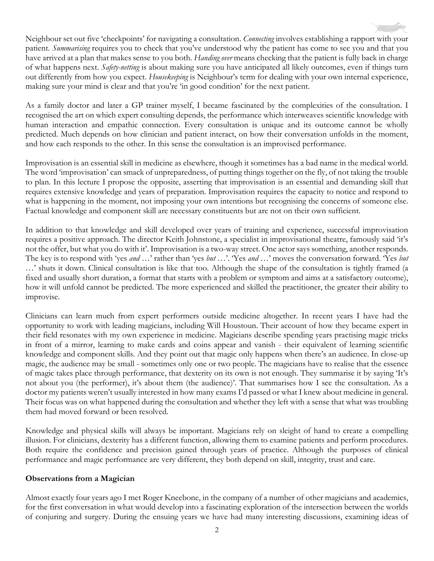Neighbour set out five 'checkpoints' for navigating a consultation. *Connecting* involves establishing a rapport with your patient. *Summarising* requires you to check that you've understood why the patient has come to see you and that you have arrived at a plan that makes sense to you both. *Handing over* means checking that the patient is fully back in charge of what happens next. *Safety-netting* is about making sure you have anticipated all likely outcomes, even if things turn out differently from how you expect. *Housekeeping* is Neighbour's term for dealing with your own internal experience, making sure your mind is clear and that you're 'in good condition' for the next patient.

As a family doctor and later a GP trainer myself, I became fascinated by the complexities of the consultation. I recognised the art on which expert consulting depends, the performance which interweaves scientific knowledge with human interaction and empathic connection. Every consultation is unique and its outcome cannot be wholly predicted. Much depends on how clinician and patient interact, on how their conversation unfolds in the moment, and how each responds to the other. In this sense the consultation is an improvised performance.

Improvisation is an essential skill in medicine as elsewhere, though it sometimes has a bad name in the medical world. The word 'improvisation' can smack of unpreparedness, of putting things together on the fly, of not taking the trouble to plan. In this lecture I propose the opposite, asserting that improvisation is an essential and demanding skill that requires extensive knowledge and years of preparation. Improvisation requires the capacity to notice and respond to what is happening in the moment, not imposing your own intentions but recognising the concerns of someone else. Factual knowledge and component skill are necessary constituents but are not on their own sufficient.

In addition to that knowledge and skill developed over years of training and experience, successful improvisation requires a positive approach. The director Keith Johnstone, a specialist in improvisational theatre, famously said 'it's not the offer, but what you do with it'. Improvisation is a two-way street. One actor says something, another responds. The key is to respond with 'yes *and* …' rather than 'yes *but* …'. 'Yes *and …*' moves the conversation forward. 'Yes *but …*' shuts it down. Clinical consultation is like that too. Although the shape of the consultation is tightly framed (a fixed and usually short duration, a format that starts with a problem or symptom and aims at a satisfactory outcome), how it will unfold cannot be predicted. The more experienced and skilled the practitioner, the greater their ability to improvise.

Clinicians can learn much from expert performers outside medicine altogether. In recent years I have had the opportunity to work with leading magicians, including Will Houstoun. Their account of how they became expert in their field resonates with my own experience in medicine. Magicians describe spending years practising magic tricks in front of a mirror, learning to make cards and coins appear and vanish - their equivalent of learning scientific knowledge and component skills. And they point out that magic only happens when there's an audience. In close-up magic, the audience may be small - sometimes only one or two people. The magicians have to realise that the essence of magic takes place through performance, that dexterity on its own is not enough. They summarise it by saying 'It's not about you (the performer), it's about them (the audience)'. That summarises how I see the consultation. As a doctor my patients weren't usually interested in how many exams I'd passed or what I knew about medicine in general. Their focus was on what happened during the consultation and whether they left with a sense that what was troubling them had moved forward or been resolved.

Knowledge and physical skills will always be important. Magicians rely on sleight of hand to create a compelling illusion. For clinicians, dexterity has a different function, allowing them to examine patients and perform procedures. Both require the confidence and precision gained through years of practice. Although the purposes of clinical performance and magic performance are very different, they both depend on skill, integrity, trust and care.

### **Observations from a Magician**

Almost exactly four years ago I met Roger Kneebone, in the company of a number of other magicians and academics, for the first conversation in what would develop into a fascinating exploration of the intersection between the worlds of conjuring and surgery. During the ensuing years we have had many interesting discussions, examining ideas of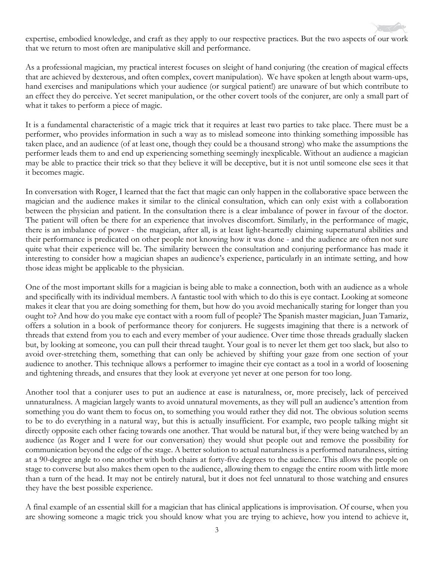expertise, embodied knowledge, and craft as they apply to our respective practices. But the two aspects of our work that we return to most often are manipulative skill and performance.

As a professional magician, my practical interest focuses on sleight of hand conjuring (the creation of magical effects that are achieved by dexterous, and often complex, covert manipulation). We have spoken at length about warm-ups, hand exercises and manipulations which your audience (or surgical patient!) are unaware of but which contribute to an effect they do perceive. Yet secret manipulation, or the other covert tools of the conjurer, are only a small part of what it takes to perform a piece of magic.

It is a fundamental characteristic of a magic trick that it requires at least two parties to take place. There must be a performer, who provides information in such a way as to mislead someone into thinking something impossible has taken place, and an audience (of at least one, though they could be a thousand strong) who make the assumptions the performer leads them to and end up experiencing something seemingly inexplicable. Without an audience a magician may be able to practice their trick so that they believe it will be deceptive, but it is not until someone else sees it that it becomes magic.

In conversation with Roger, I learned that the fact that magic can only happen in the collaborative space between the magician and the audience makes it similar to the clinical consultation, which can only exist with a collaboration between the physician and patient. In the consultation there is a clear imbalance of power in favour of the doctor. The patient will often be there for an experience that involves discomfort. Similarly, in the performance of magic, there is an imbalance of power - the magician, after all, is at least light-heartedly claiming supernatural abilities and their performance is predicated on other people not knowing how it was done - and the audience are often not sure quite what their experience will be. The similarity between the consultation and conjuring performance has made it interesting to consider how a magician shapes an audience's experience, particularly in an intimate setting, and how those ideas might be applicable to the physician.

One of the most important skills for a magician is being able to make a connection, both with an audience as a whole and specifically with its individual members. A fantastic tool with which to do this is eye contact. Looking at someone makes it clear that you are doing something for them, but how do you avoid mechanically staring for longer than you ought to? And how do you make eye contact with a room full of people? The Spanish master magician, Juan Tamariz, offers a solution in a book of performance theory for conjurers. He suggests imagining that there is a network of threads that extend from you to each and every member of your audience. Over time those threads gradually slacken but, by looking at someone, you can pull their thread taught. Your goal is to never let them get too slack, but also to avoid over-stretching them, something that can only be achieved by shifting your gaze from one section of your audience to another. This technique allows a performer to imagine their eye contact as a tool in a world of loosening and tightening threads, and ensures that they look at everyone yet never at one person for too long.

Another tool that a conjurer uses to put an audience at ease is naturalness, or, more precisely, lack of perceived unnaturalness. A magician largely wants to avoid unnatural movements, as they will pull an audience's attention from something you do want them to focus on, to something you would rather they did not. The obvious solution seems to be to do everything in a natural way, but this is actually insufficient. For example, two people talking might sit directly opposite each other facing towards one another. That would be natural but, if they were being watched by an audience (as Roger and I were for our conversation) they would shut people out and remove the possibility for communication beyond the edge of the stage. A better solution to actual naturalness is a performed naturalness, sitting at a 90-degree angle to one another with both chairs at forty-five degrees to the audience. This allows the people on stage to converse but also makes them open to the audience, allowing them to engage the entire room with little more than a turn of the head. It may not be entirely natural, but it does not feel unnatural to those watching and ensures they have the best possible experience.

A final example of an essential skill for a magician that has clinical applications is improvisation. Of course, when you are showing someone a magic trick you should know what you are trying to achieve, how you intend to achieve it,